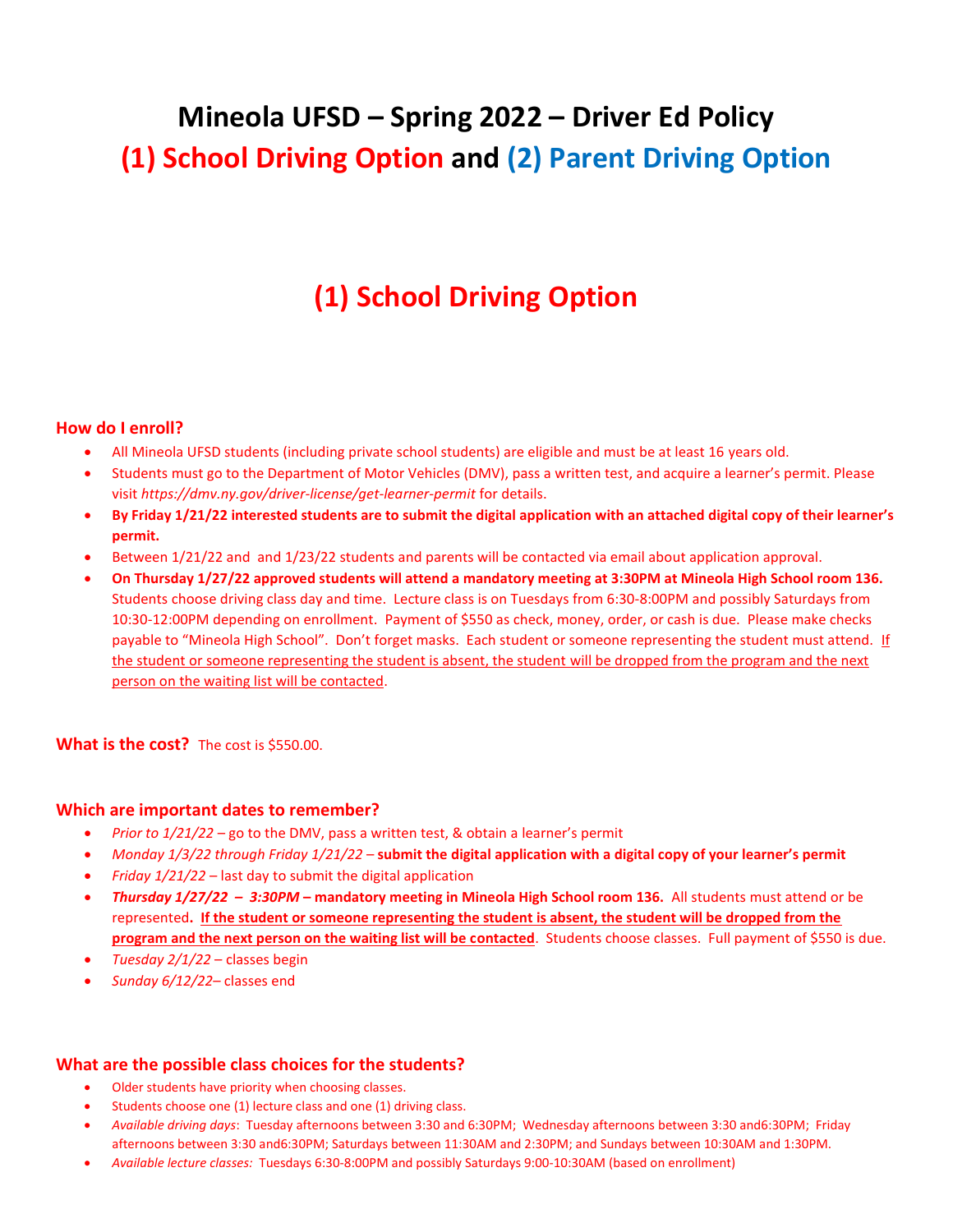# **Mineola UFSD – Spring 2022 – Driver Ed Policy (1) School Driving Option and (2) Parent Driving Option**

# **(1) School Driving Option**

# **How do I enroll?**

- All Mineola UFSD students (including private school students) are eligible and must be at least 16 years old.
- Students must go to the Department of Motor Vehicles (DMV), pass a written test, and acquire a learner's permit. Please visit *https://dmv.ny.gov/driver-license/get-learner-permit* for details.
- **By Friday 1/21/22 interested students are to submit the digital application with an attached digital copy of their learner's permit.**
- Between 1/21/22 and and 1/23/22 students and parents will be contacted via email about application approval.
- **On Thursday 1/27/22 approved students will attend a mandatory meeting at 3:30PM at Mineola High School room 136.**  Students choose driving class day and time. Lecture class is on Tuesdays from 6:30-8:00PM and possibly Saturdays from 10:30-12:00PM depending on enrollment. Payment of \$550 as check, money, order, or cash is due.Please make checks payable to "Mineola High School". Don't forget masks. Each student or someone representing the student must attend. If the student or someone representing the student is absent, the student will be dropped from the program and the next person on the waiting list will be contacted.

## What is the cost? The cost is \$550.00.

## **Which are important dates to remember?**

- *Prior to 1/21/22* go to the DMV, pass a written test, & obtain a learner's permit
- *Monday 1/3/22 through Friday 1/21/22* **submit the digital application with a digital copy of your learner's permit**
- *Friday 1/21/22* last day to submit the digital application
- *Thursday 1/27/22 – 3:30PM* **– mandatory meeting in Mineola High School room 136.** All students must attend or be represented**. If the student or someone representing the student is absent, the student will be dropped from the program and the next person on the waiting list will be contacted**. Students choose classes. Full payment of \$550 is due.
- *Tuesday 2/1/22* classes begin
- *Sunday 6/12/22* classes end

## **What are the possible class choices for the students?**

- Older students have priority when choosing classes.
- Students choose one (1) lecture class and one (1) driving class.
- *Available driving days*: Tuesday afternoons between 3:30 and 6:30PM; Wednesday afternoons between 3:30 and6:30PM; Friday afternoons between 3:30 and6:30PM; Saturdays between 11:30AM and 2:30PM; and Sundays between 10:30AM and 1:30PM.
- *Available lecture classes:* Tuesdays 6:30-8:00PM and possibly Saturdays 9:00-10:30AM (based on enrollment)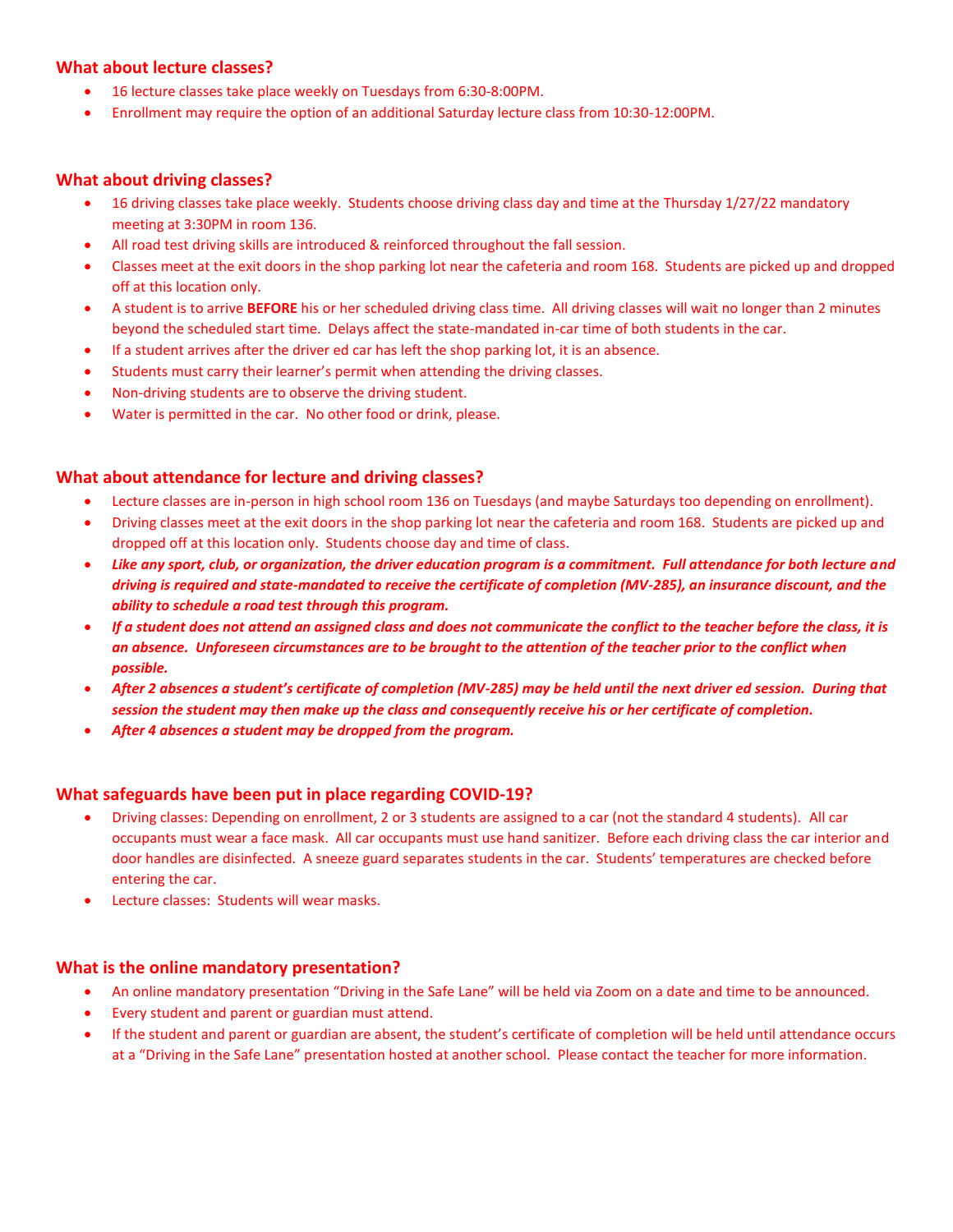# **What about lecture classes?**

- 16 lecture classes take place weekly on Tuesdays from 6:30-8:00PM.
- Enrollment may require the option of an additional Saturday lecture class from 10:30-12:00PM.

#### **What about driving classes?**

- 16 driving classes take place weekly. Students choose driving class day and time at the Thursday 1/27/22 mandatory meeting at 3:30PM in room 136.
- All road test driving skills are introduced & reinforced throughout the fall session.
- Classes meet at the exit doors in the shop parking lot near the cafeteria and room 168. Students are picked up and dropped off at this location only.
- A student is to arrive **BEFORE** his or her scheduled driving class time. All driving classes will wait no longer than 2 minutes beyond the scheduled start time. Delays affect the state-mandated in-car time of both students in the car.
- If a student arrives after the driver ed car has left the shop parking lot, it is an absence.
- Students must carry their learner's permit when attending the driving classes.
- Non-driving students are to observe the driving student.
- Water is permitted in the car. No other food or drink, please.

## **What about attendance for lecture and driving classes?**

- Lecture classes are in-person in high school room 136 on Tuesdays (and maybe Saturdays too depending on enrollment).
- Driving classes meet at the exit doors in the shop parking lot near the cafeteria and room 168. Students are picked up and dropped off at this location only. Students choose day and time of class.
- *Like any sport, club, or organization, the driver education program is a commitment. Full attendance for both lecture and driving is required and state-mandated to receive the certificate of completion (MV-285), an insurance discount, and the ability to schedule a road test through this program.*
- *If a student does not attend an assigned class and does not communicate the conflict to the teacher before the class, it is an absence. Unforeseen circumstances are to be brought to the attention of the teacher prior to the conflict when possible.*
- *After 2 absences a student's certificate of completion (MV-285) may be held until the next driver ed session. During that session the student may then make up the class and consequently receive his or her certificate of completion.*
- *After 4 absences a student may be dropped from the program.*

## **What safeguards have been put in place regarding COVID-19?**

- Driving classes: Depending on enrollment, 2 or 3 students are assigned to a car (not the standard 4 students). All car occupants must wear a face mask. All car occupants must use hand sanitizer. Before each driving class the car interior and door handles are disinfected. A sneeze guard separates students in the car. Students' temperatures are checked before entering the car.
- Lecture classes: Students will wear masks.

#### **What is the online mandatory presentation?**

- An online mandatory presentation "Driving in the Safe Lane" will be held via Zoom on a date and time to be announced.
- Every student and parent or guardian must attend.
- If the student and parent or guardian are absent, the student's certificate of completion will be held until attendance occurs at a "Driving in the Safe Lane" presentation hosted at another school. Please contact the teacher for more information.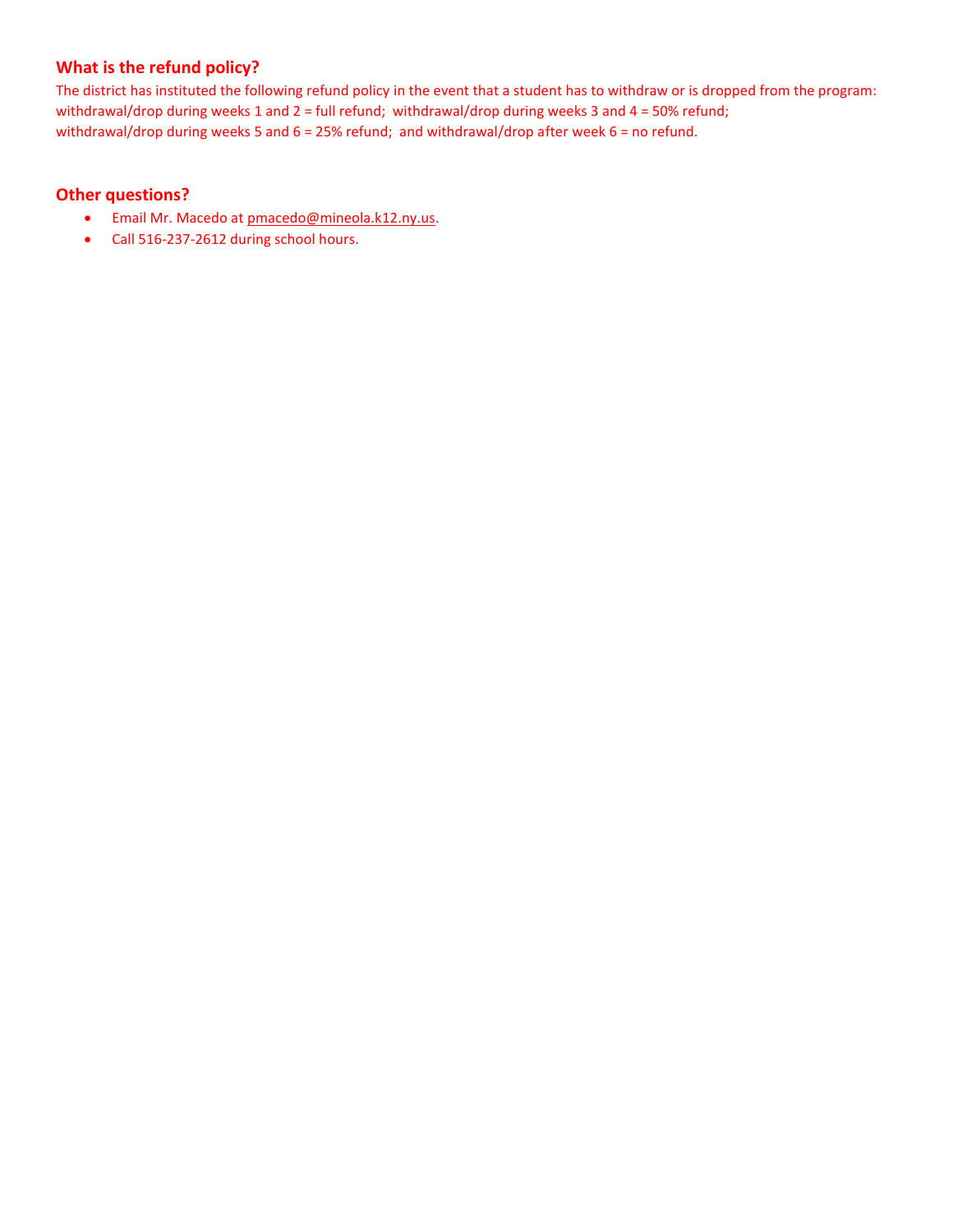# **What is the refund policy?**

The district has instituted the following refund policy in the event that a student has to withdraw or is dropped from the program: withdrawal/drop during weeks 1 and 2 = full refund; withdrawal/drop during weeks 3 and 4 = 50% refund; withdrawal/drop during weeks 5 and 6 = 25% refund; and withdrawal/drop after week 6 = no refund.

# **Other questions?**

- Email Mr. Macedo at [pmacedo@mineola.k12.ny.us.](mailto:pmacedo@mineola.k12.ny.us)
- Call 516-237-2612 during school hours.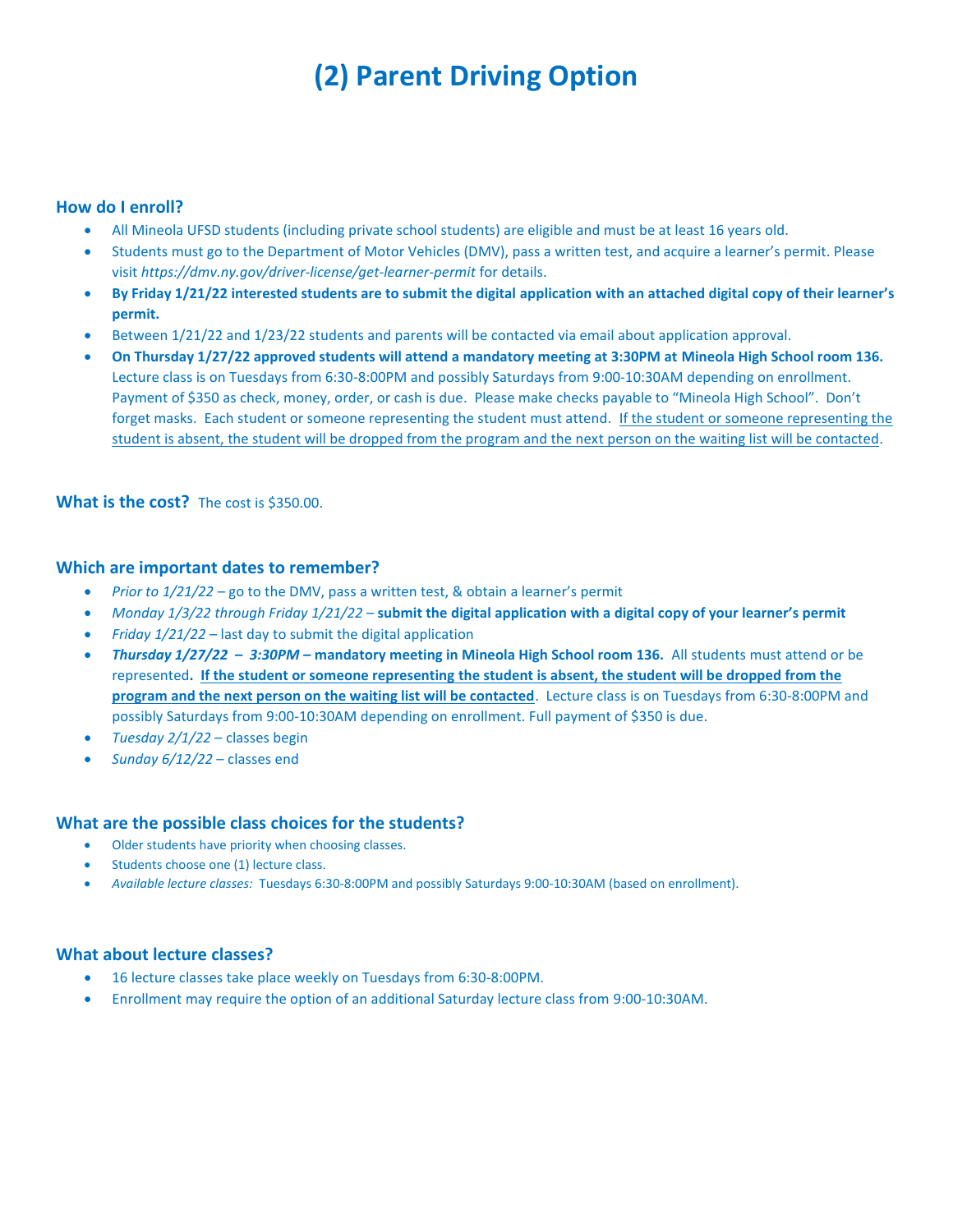# **(2) Parent Driving Option**

## **How do I enroll?**

- All Mineola UFSD students (including private school students) are eligible and must be at least 16 years old.
- Students must go to the Department of Motor Vehicles (DMV), pass a written test, and acquire a learner's permit. Please visit *https://dmv.ny.gov/driver-license/get-learner-permit* for details.
- **By Friday 1/21/22 interested students are to submit the digital application with an attached digital copy of their learner's permit.**
- Between 1/21/22 and 1/23/22 students and parents will be contacted via email about application approval.
- **On Thursday 1/27/22 approved students will attend a mandatory meeting at 3:30PM at Mineola High School room 136.**  Lecture class is on Tuesdays from 6:30-8:00PM and possibly Saturdays from 9:00-10:30AM depending on enrollment. Payment of \$350 as check, money, order, or cash is due.Please make checks payable to "Mineola High School". Don't forget masks. Each student or someone representing the student must attend. If the student or someone representing the student is absent, the student will be dropped from the program and the next person on the waiting list will be contacted.

#### **What is the cost?** The cost is \$350.00.

#### **Which are important dates to remember?**

- *Prior to 1/21/22* go to the DMV, pass a written test, & obtain a learner's permit
- *Monday 1/3/22 through Friday 1/21/22* **submit the digital application with a digital copy of your learner's permit**
- *Friday 1/21/22* last day to submit the digital application
- *Thursday 1/27/22 – 3:30PM* **– mandatory meeting in Mineola High School room 136.** All students must attend or be represented**. If the student or someone representing the student is absent, the student will be dropped from the program and the next person on the waiting list will be contacted**. Lecture class is on Tuesdays from 6:30-8:00PM and possibly Saturdays from 9:00-10:30AM depending on enrollment. Full payment of \$350 is due.
- *Tuesday 2/1/22* classes begin
- *Sunday 6/12/22* classes end

#### **What are the possible class choices for the students?**

- Older students have priority when choosing classes.
- Students choose one (1) lecture class.
- *Available lecture classes:* Tuesdays 6:30-8:00PM and possibly Saturdays 9:00-10:30AM (based on enrollment).

#### **What about lecture classes?**

- 16 lecture classes take place weekly on Tuesdays from 6:30-8:00PM.
- Enrollment may require the option of an additional Saturday lecture class from 9:00-10:30AM.